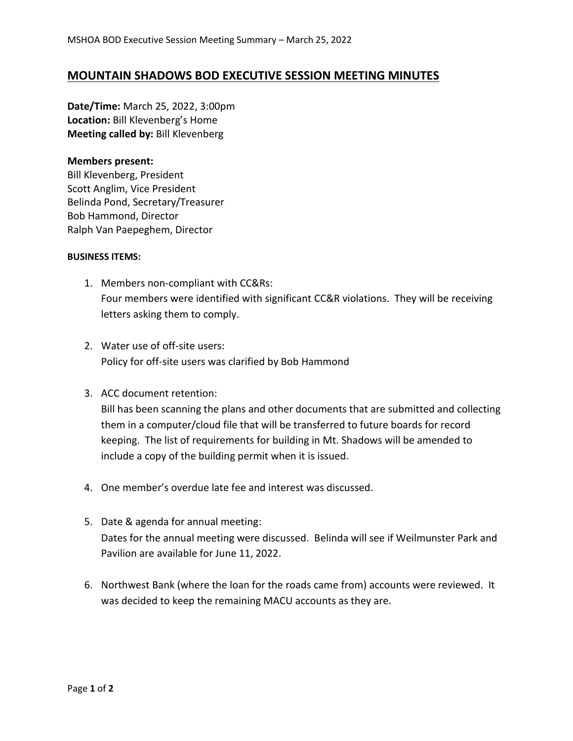## **MOUNTAIN SHADOWS BOD EXECUTIVE SESSION MEETING MINUTES**

**Date/Time:** March 25, 2022, 3:00pm **Location:** Bill Klevenberg's Home **Meeting called by:** Bill Klevenberg

## **Members present:**

Bill Klevenberg, President Scott Anglim, Vice President Belinda Pond, Secretary/Treasurer Bob Hammond, Director Ralph Van Paepeghem, Director

## **BUSINESS ITEMS:**

- 1. Members non-compliant with CC&Rs: Four members were identified with significant CC&R violations. They will be receiving letters asking them to comply.
- 2. Water use of off-site users: Policy for off-site users was clarified by Bob Hammond
- 3. ACC document retention:

Bill has been scanning the plans and other documents that are submitted and collecting them in a computer/cloud file that will be transferred to future boards for record keeping. The list of requirements for building in Mt. Shadows will be amended to include a copy of the building permit when it is issued.

- 4. One member's overdue late fee and interest was discussed.
- 5. Date & agenda for annual meeting: Dates for the annual meeting were discussed. Belinda will see if Weilmunster Park and Pavilion are available for June 11, 2022.
- 6. Northwest Bank (where the loan for the roads came from) accounts were reviewed. It was decided to keep the remaining MACU accounts as they are.